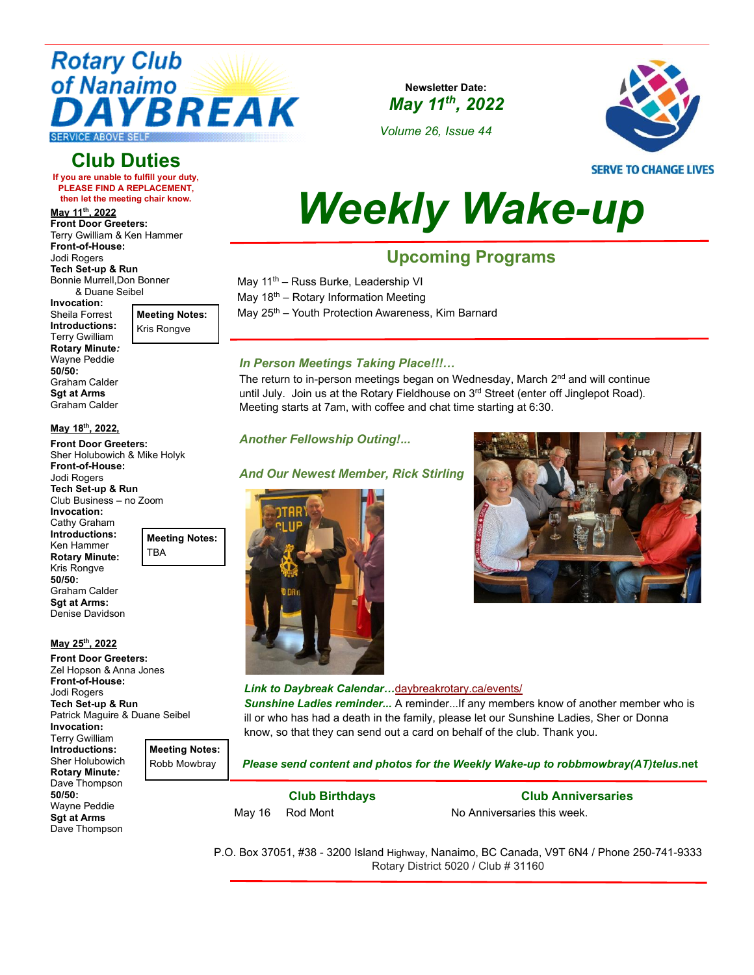

## **Club Duties**

**If you are unable to fulfill your duty, PLEASE FIND A REPLACEMENT, then let the meeting chair know.** 

**May 11th, 2022 Front Door Greeters:**  Terry Gwilliam & Ken Hammer **Front-of-House:** Jodi Rogers

**Tech Set-up & Run** Bonnie Murrell,Don Bonner & Duane Seibel

**Invocation:**  Sheila Forrest **Introductions:** Terry Gwilliam **Rotary Minute***:* Wayne Peddie **50/50:** Graham Calder **Sgt at Arms** Graham Calder

**May 18th, 2022, Front Door Greeters:**  Sher Holubowich & Mike Holyk

**Front-of-House:** Jodi Rogers **Tech Set-up & Run** Club Business – no Zoom

**Invocation:** Cathy Graham **Introductions:** Ken Hammer **Rotary Minute:** Kris Rongve **50/50:** Graham Calder **Sgt at Arms:** Denise Davidson

**May 25th, 2022 Front Door Greeters:**  Zel Hopson & Anna Jones **Front-of-House:** Jodi Rogers

**Meeting Notes:** Kris Rongve

**Newsletter Date:** *May 11th , 2022*

*Volume 26, Issue 44*



**SERVE TO CHANGE LIVES** 

# *Weekly Wake-up*

# **Upcoming Programs**

May 11<sup>th</sup> – Russ Burke, Leadership VI

May  $18<sup>th</sup>$  – Rotary Information Meeting

May 25<sup>th</sup> – Youth Protection Awareness, Kim Barnard

#### *In Person Meetings Taking Place!!!…*

The return to in-person meetings began on Wednesday, March 2<sup>nd</sup> and will continue until July. Join us at the Rotary Fieldhouse on  $3<sup>rd</sup>$  Street (enter off Jinglepot Road). Meeting starts at 7am, with coffee and chat time starting at 6:30.

#### *Another Fellowship Outing!...*

#### *And Our Newest Member, Rick Stirling*





#### *Link to Daybreak Calendar…*[daybreakrotary.ca/events/](https://www.daybreakrotary.ca/events/)

*Sunshine Ladies reminder...* A reminder...If any members know of another member who is ill or who has had a death in the family, please let our Sunshine Ladies, Sher or Donna know, so that they can send out a card on behalf of the club. Thank you.

*Please send content and photos for the Weekly Wake-up to robbmowbray(AT)telus***.net**

**Club Birthdays**

May 16 Rod Mont

**Club Anniversaries** No Anniversaries this week.

P.O. Box 37051, #38 - 3200 Island Highway, Nanaimo, BC Canada, V9T 6N4 / Phone 250-741-9333 Rotary District 5020 / Club # 31160

**Tech Set-up & Run** Patrick Maguire & Duane Seibel **Invocation**: Terry Gwilliam **Introductions:**

**Meeting Notes:** Robb Mowbray

**Meeting Notes:**

TBA

**Rotary Minute***:* Dave Thompson **50/50:** Wayne Peddie **Sgt at Arms** Dave Thompson

Sher Holubowich